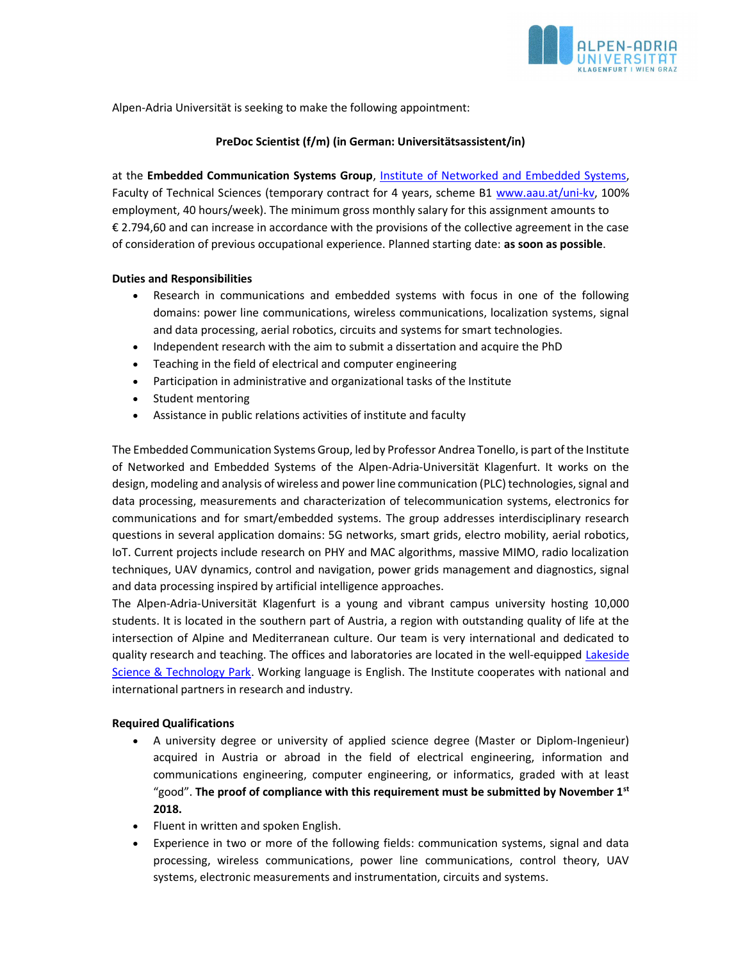

Alpen-Adria Universität is seeking to make the following appointment:

# PreDoc Scientist (f/m) (in German: Universitätsassistent/in)

at the Embedded Communication Systems Group, Institute of Networked and Embedded Systems, Faculty of Technical Sciences (temporary contract for 4 years, scheme B1 www.aau.at/uni-kv, 100% employment, 40 hours/week). The minimum gross monthly salary for this assignment amounts to € 2.794,60 and can increase in accordance with the provisions of the collective agreement in the case of consideration of previous occupational experience. Planned starting date: as soon as possible.

## Duties and Responsibilities

- Research in communications and embedded systems with focus in one of the following domains: power line communications, wireless communications, localization systems, signal and data processing, aerial robotics, circuits and systems for smart technologies.
- Independent research with the aim to submit a dissertation and acquire the PhD
- Teaching in the field of electrical and computer engineering
- Participation in administrative and organizational tasks of the Institute
- Student mentoring
- Assistance in public relations activities of institute and faculty

The Embedded Communication Systems Group, led by Professor Andrea Tonello, is part of the Institute of Networked and Embedded Systems of the Alpen-Adria-Universität Klagenfurt. It works on the design, modeling and analysis of wireless and power line communication (PLC) technologies, signal and data processing, measurements and characterization of telecommunication systems, electronics for communications and for smart/embedded systems. The group addresses interdisciplinary research questions in several application domains: 5G networks, smart grids, electro mobility, aerial robotics, IoT. Current projects include research on PHY and MAC algorithms, massive MIMO, radio localization techniques, UAV dynamics, control and navigation, power grids management and diagnostics, signal and data processing inspired by artificial intelligence approaches.

The Alpen-Adria-Universität Klagenfurt is a young and vibrant campus university hosting 10,000 students. It is located in the southern part of Austria, a region with outstanding quality of life at the intersection of Alpine and Mediterranean culture. Our team is very international and dedicated to quality research and teaching. The offices and laboratories are located in the well-equipped Lakeside Science & Technology Park. Working language is English. The Institute cooperates with national and international partners in research and industry.

### Required Qualifications

- A university degree or university of applied science degree (Master or Diplom-Ingenieur) acquired in Austria or abroad in the field of electrical engineering, information and communications engineering, computer engineering, or informatics, graded with at least "good". The proof of compliance with this requirement must be submitted by November  $1<sup>st</sup>$ 2018.
- Fluent in written and spoken English.
- Experience in two or more of the following fields: communication systems, signal and data processing, wireless communications, power line communications, control theory, UAV systems, electronic measurements and instrumentation, circuits and systems.